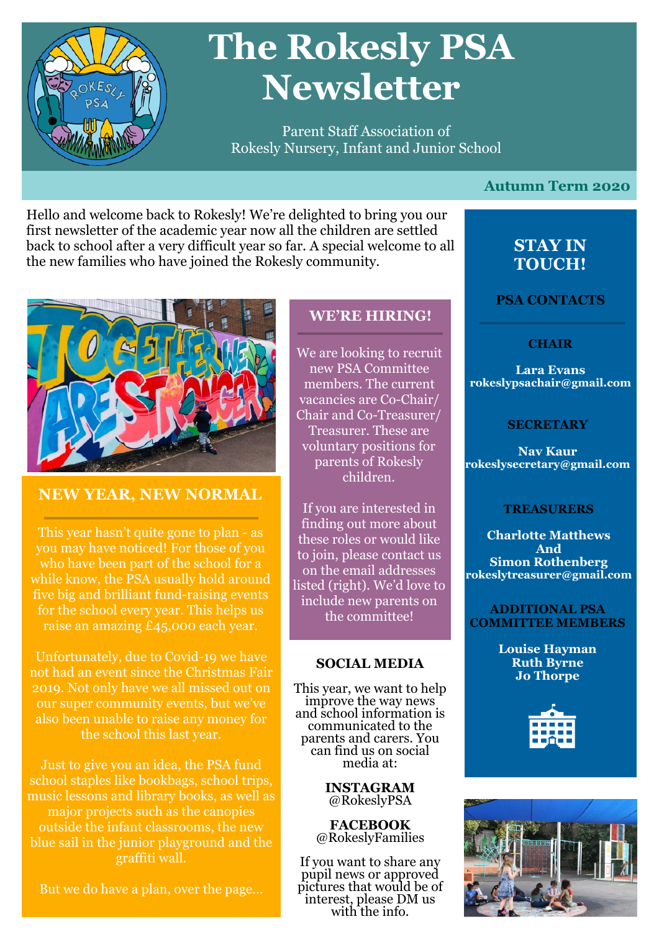

# **The Rokesly PSA Newsletter**

Parent Staff Association of Rokesly Nursery, Infant and Junior School

**Autumn Term 2020** 

Hello and welcome back to Rokesly! We're delighted to bring you our first newsletter of the academic year now all the children are settled back to school after a very difficult year so far. A special welcome to all the new families who have joined the Rokesly community.



## **NEW YEAR, NEW NORMAL**

This year hasn't quite gone to plan - as you may have noticed! For those of you who have been part of the school for a while know, the PSA usually hold around five big and brilliant fund-raising events for the school every year. This helps us raise an amazing £45,000 each year.

Unfortunately, due to Covid-19 we have not had an event since the Christmas Fair 2019. Not only have we all missed out on our super community events, but we've also been unable to raise any money for the school this last year.

Just to give you an idea, the PSA fund school staples like bookbags, school trips, music lessons and library books, as well as major projects such as the canopies outside the infant classrooms, the new blue sail in the junior playground and the graffiti wall.

But we do have a plan, over the page…

# **WE'RE HIRING!**

We are looking to recruit new PSA Committee members. The current vacancies are Co-Chair/ Chair and Co-Treasurer/ Treasurer. These are voluntary positions for parents of Rokesly children.

If you are interested in finding out more about these roles or would like to join, please contact us on the email addresses listed (right). We'd love to include new parents on the committee!

#### **SOCIAL MEDIA**

This year, we want to help improve the way news and school information is communicated to the parents and carers. You can find us on social media at:

> **INSTAGRAM**  @RokeslyPSA

**FACEBOOK**  @RokeslyFamilies

If you want to share any pupil news or approved pictures that would be of interest, please DM us with the info.

# **STAY IN TOUCH!**

**PSA CONTACTS**

#### **CHAIR**

**Lara Evans rokeslypsachair@gmail.com**

#### **SECRETARY**

**Nav Kaur rokeslysecretary@gmail.com**

#### **TREASURERS**

**Charlotte Matthews And Simon Rothenberg rokeslytreasurer@gmail.com**

#### **ADDITIONAL PSA COMMITTEE MEMBERS**

**Louise Hayman Ruth Byrne Jo Thorpe**